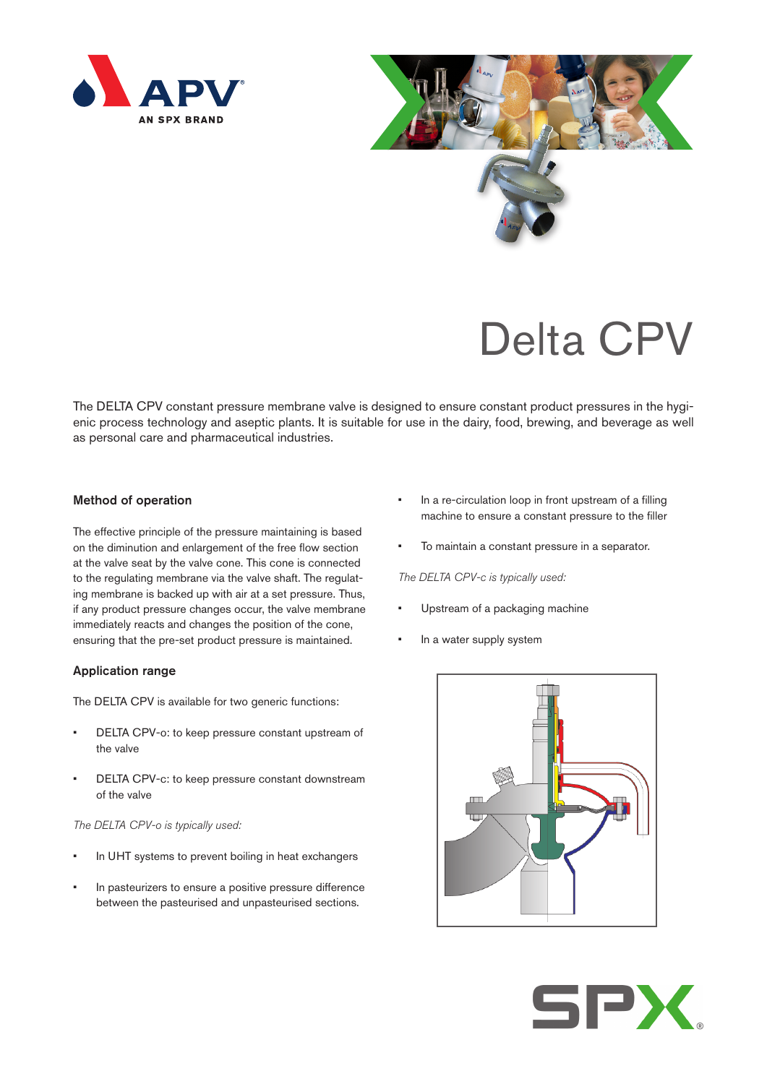



# Delta CPV

The DELTA CPV constant pressure membrane valve is designed to ensure constant product pressures in the hygienic process technology and aseptic plants. It is suitable for use in the dairy, food, brewing, and beverage as well as personal care and pharmaceutical industries.

## Method of operation

The effective principle of the pressure maintaining is based on the diminution and enlargement of the free flow section at the valve seat by the valve cone. This cone is connected to the regulating membrane via the valve shaft. The regulating membrane is backed up with air at a set pressure. Thus, if any product pressure changes occur, the valve membrane immediately reacts and changes the position of the cone, ensuring that the pre-set product pressure is maintained.

## Application range

The DELTA CPV is available for two generic functions:

- DELTA CPV-o: to keep pressure constant upstream of the valve
- DELTA CPV-c: to keep pressure constant downstream of the valve

## *The DELTA CPV-o is typically used:*

- In UHT systems to prevent boiling in heat exchangers
- In pasteurizers to ensure a positive pressure difference between the pasteurised and unpasteurised sections.
- In a re-circulation loop in front upstream of a filling machine to ensure a constant pressure to the filler
- To maintain a constant pressure in a separator.

*The DELTA CPV-c is typically used:*

- Upstream of a packaging machine
- In a water supply system